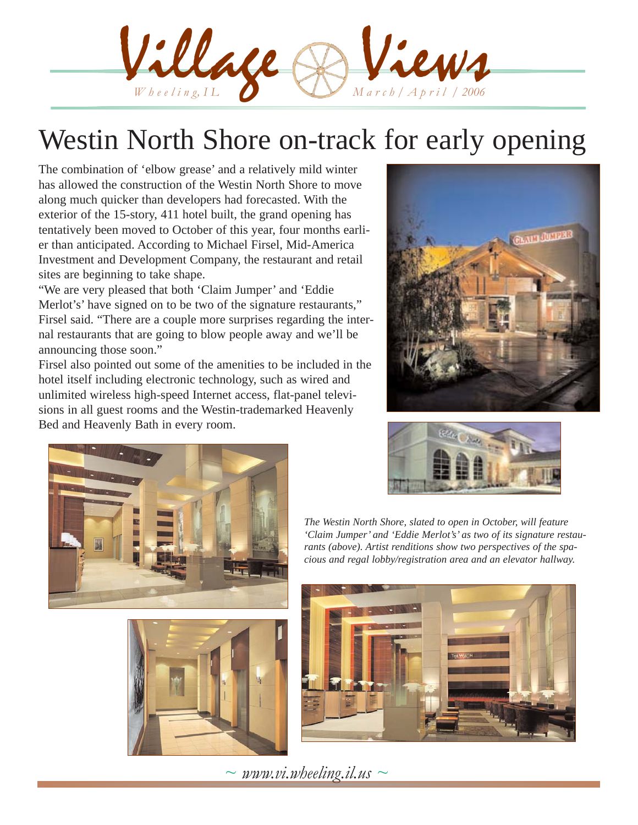Village & Views

# Westin North Shore on-track for early opening

The combination of 'elbow grease' and a relatively mild winter has allowed the construction of the Westin North Shore to move along much quicker than developers had forecasted. With the exterior of the 15-story, 411 hotel built, the grand opening has tentatively been moved to October of this year, four months earlier than anticipated. According to Michael Firsel, Mid-America Investment and Development Company, the restaurant and retail sites are beginning to take shape.

"We are very pleased that both 'Claim Jumper' and 'Eddie Merlot's' have signed on to be two of the signature restaurants," Firsel said. "There are a couple more surprises regarding the internal restaurants that are going to blow people away and we'll be announcing those soon."

Firsel also pointed out some of the amenities to be included in the hotel itself including electronic technology, such as wired and unlimited wireless high-speed Internet access, flat-panel televisions in all guest rooms and the Westin-trademarked Heavenly Bed and Heavenly Bath in every room.







*The Westin North Shore, slated to open in October, will feature 'Claim Jumper' and 'Eddie Merlot's' as two of its signature restaurants (above). Artist renditions show two perspectives of the spacious and regal lobby/registration area and an elevator hallway.* 



 $\sim$  *www.vi.wheeling.il.us*  $\sim$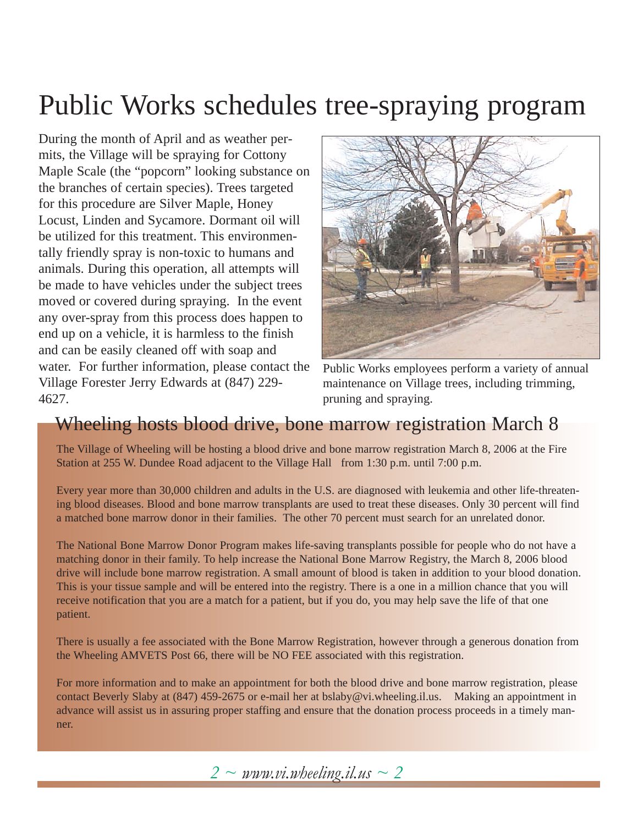# Public Works schedules tree-spraying program

During the month of April and as weather permits, the Village will be spraying for Cottony Maple Scale (the "popcorn" looking substance on the branches of certain species). Trees targeted for this procedure are Silver Maple, Honey Locust, Linden and Sycamore. Dormant oil will be utilized for this treatment. This environmentally friendly spray is non-toxic to humans and animals. During this operation, all attempts will be made to have vehicles under the subject trees moved or covered during spraying. In the event any over-spray from this process does happen to end up on a vehicle, it is harmless to the finish and can be easily cleaned off with soap and water. For further information, please contact the Village Forester Jerry Edwards at (847) 229- 4627.



Public Works employees perform a variety of annual maintenance on Village trees, including trimming, pruning and spraying.

### Wheeling hosts blood drive, bone marrow registration March 8

The Village of Wheeling will be hosting a blood drive and bone marrow registration March 8, 2006 at the Fire Station at 255 W. Dundee Road adjacent to the Village Hall from 1:30 p.m. until 7:00 p.m.

Every year more than 30,000 children and adults in the U.S. are diagnosed with leukemia and other life-threatening blood diseases. Blood and bone marrow transplants are used to treat these diseases. Only 30 percent will find a matched bone marrow donor in their families. The other 70 percent must search for an unrelated donor.

The National Bone Marrow Donor Program makes life-saving transplants possible for people who do not have a matching donor in their family. To help increase the National Bone Marrow Registry, the March 8, 2006 blood drive will include bone marrow registration. A small amount of blood is taken in addition to your blood donation. This is your tissue sample and will be entered into the registry. There is a one in a million chance that you will receive notification that you are a match for a patient, but if you do, you may help save the life of that one patient.

There is usually a fee associated with the Bone Marrow Registration, however through a generous donation from the Wheeling AMVETS Post 66, there will be NO FEE associated with this registration.

For more information and to make an appointment for both the blood drive and bone marrow registration, please contact Beverly Slaby at (847) 459-2675 or e-mail her at bslaby@vi.wheeling.il.us. Making an appointment in advance will assist us in assuring proper staffing and ensure that the donation process proceeds in a timely manner.

 $2 \sim \text{www.vi.}$ *wheeling.il.us*  $\sim 2$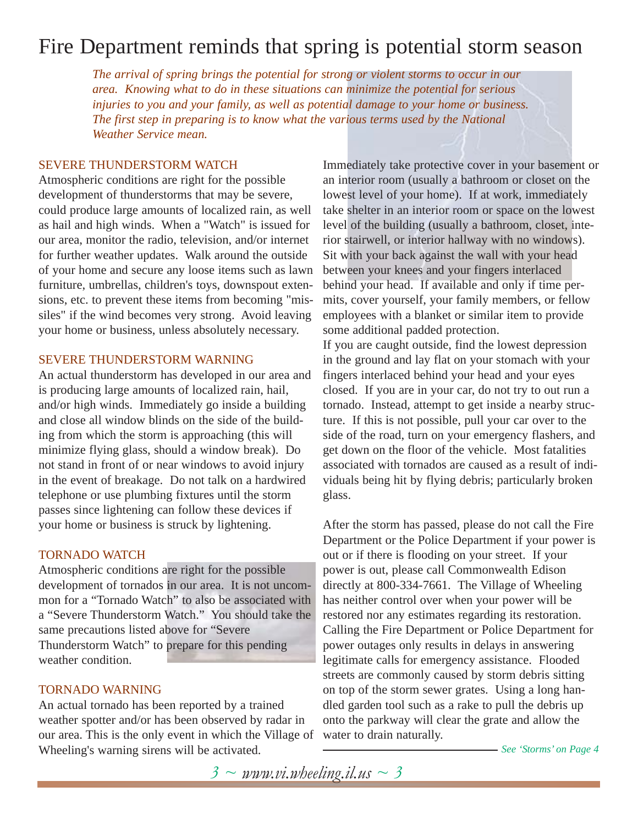## Fire Department reminds that spring is potential storm season

*The arrival of spring brings the potential for strong or violent storms to occur in our area. Knowing what to do in these situations can minimize the potential for serious injuries to you and your family, as well as potential damage to your home or business. The first step in preparing is to know what the various terms used by the National Weather Service mean.*

#### SEVERE THUNDERSTORM WATCH

Atmospheric conditions are right for the possible development of thunderstorms that may be severe, could produce large amounts of localized rain, as well as hail and high winds. When a "Watch" is issued for our area, monitor the radio, television, and/or internet for further weather updates. Walk around the outside of your home and secure any loose items such as lawn furniture, umbrellas, children's toys, downspout extensions, etc. to prevent these items from becoming "missiles" if the wind becomes very strong. Avoid leaving your home or business, unless absolutely necessary.

#### SEVERE THUNDERSTORM WARNING

An actual thunderstorm has developed in our area and is producing large amounts of localized rain, hail, and/or high winds. Immediately go inside a building and close all window blinds on the side of the building from which the storm is approaching (this will minimize flying glass, should a window break). Do not stand in front of or near windows to avoid injury in the event of breakage. Do not talk on a hardwired telephone or use plumbing fixtures until the storm passes since lightening can follow these devices if your home or business is struck by lightening.

#### TORNADO WATCH

Atmospheric conditions are right for the possible development of tornados in our area. It is not uncommon for a "Tornado Watch" to also be associated with a "Severe Thunderstorm Watch." You should take the same precautions listed above for "Severe Thunderstorm Watch" to prepare for this pending weather condition.

#### TORNADO WARNING

An actual tornado has been reported by a trained weather spotter and/or has been observed by radar in our area. This is the only event in which the Village of Wheeling's warning sirens will be activated.

Immediately take protective cover in your basement or an interior room (usually a bathroom or closet on the lowest level of your home). If at work, immediately take shelter in an interior room or space on the lowest level of the building (usually a bathroom, closet, interior stairwell, or interior hallway with no windows). Sit with your back against the wall with your head between your knees and your fingers interlaced behind your head. If available and only if time permits, cover yourself, your family members, or fellow employees with a blanket or similar item to provide some additional padded protection.

If you are caught outside, find the lowest depression in the ground and lay flat on your stomach with your fingers interlaced behind your head and your eyes closed. If you are in your car, do not try to out run a tornado. Instead, attempt to get inside a nearby structure. If this is not possible, pull your car over to the side of the road, turn on your emergency flashers, and get down on the floor of the vehicle. Most fatalities associated with tornados are caused as a result of individuals being hit by flying debris; particularly broken glass.

After the storm has passed, please do not call the Fire Department or the Police Department if your power is out or if there is flooding on your street. If your power is out, please call Commonwealth Edison directly at 800-334-7661. The Village of Wheeling has neither control over when your power will be restored nor any estimates regarding its restoration. Calling the Fire Department or Police Department for power outages only results in delays in answering legitimate calls for emergency assistance. Flooded streets are commonly caused by storm debris sitting on top of the storm sewer grates. Using a long handled garden tool such as a rake to pull the debris up onto the parkway will clear the grate and allow the water to drain naturally.

*See 'Storms' on Page 4*

*3 ~ www.vi.wheeling.il.us ~ 3*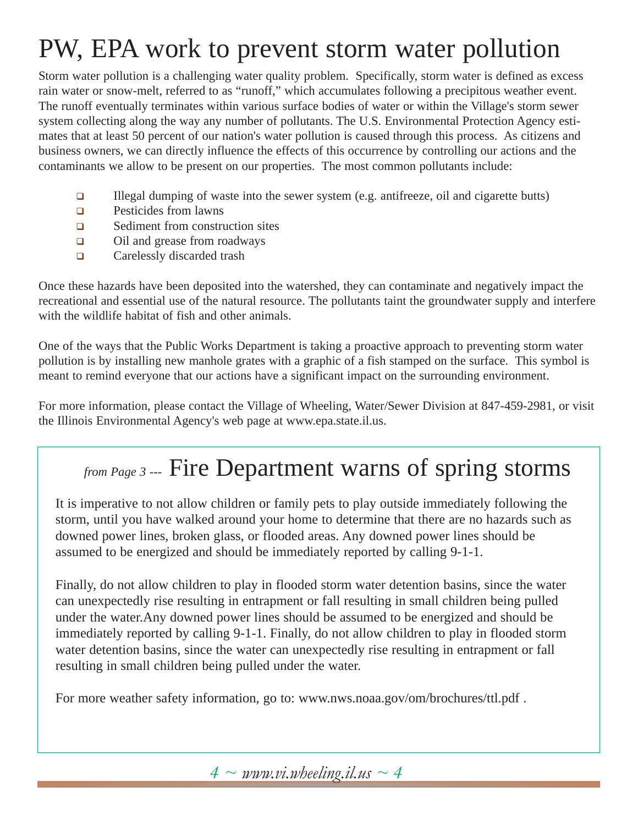# PW, EPA work to prevent storm water pollution

Storm water pollution is a challenging water quality problem. Specifically, storm water is defined as excess rain water or snow-melt, referred to as "runoff," which accumulates following a precipitous weather event. The runoff eventually terminates within various surface bodies of water or within the Village's storm sewer system collecting along the way any number of pollutants. The U.S. Environmental Protection Agency estimates that at least 50 percent of our nation's water pollution is caused through this process. As citizens and business owners, we can directly influence the effects of this occurrence by controlling our actions and the contaminants we allow to be present on our properties. The most common pollutants include:

- Illegal dumping of waste into the sewer system (e.g. antifreeze, oil and cigarette butts)
- **Q** Pesticides from lawns
- □ Sediment from construction sites
- □ Oil and grease from roadways
- Carelessly discarded trash

Once these hazards have been deposited into the watershed, they can contaminate and negatively impact the recreational and essential use of the natural resource. The pollutants taint the groundwater supply and interfere with the wildlife habitat of fish and other animals.

One of the ways that the Public Works Department is taking a proactive approach to preventing storm water pollution is by installing new manhole grates with a graphic of a fish stamped on the surface. This symbol is meant to remind everyone that our actions have a significant impact on the surrounding environment.

For more information, please contact the Village of Wheeling, Water/Sewer Division at 847-459-2981, or visit the Illinois Environmental Agency's web page at www.epa.state.il.us.

## *from Page 3 ---* Fire Department warns of spring storms

It is imperative to not allow children or family pets to play outside immediately following the storm, until you have walked around your home to determine that there are no hazards such as downed power lines, broken glass, or flooded areas. Any downed power lines should be assumed to be energized and should be immediately reported by calling 9-1-1.

Finally, do not allow children to play in flooded storm water detention basins, since the water can unexpectedly rise resulting in entrapment or fall resulting in small children being pulled under the water.Any downed power lines should be assumed to be energized and should be immediately reported by calling 9-1-1. Finally, do not allow children to play in flooded storm water detention basins, since the water can unexpectedly rise resulting in entrapment or fall resulting in small children being pulled under the water.

For more weather safety information, go to: www.nws.noaa.gov/om/brochures/ttl.pdf .

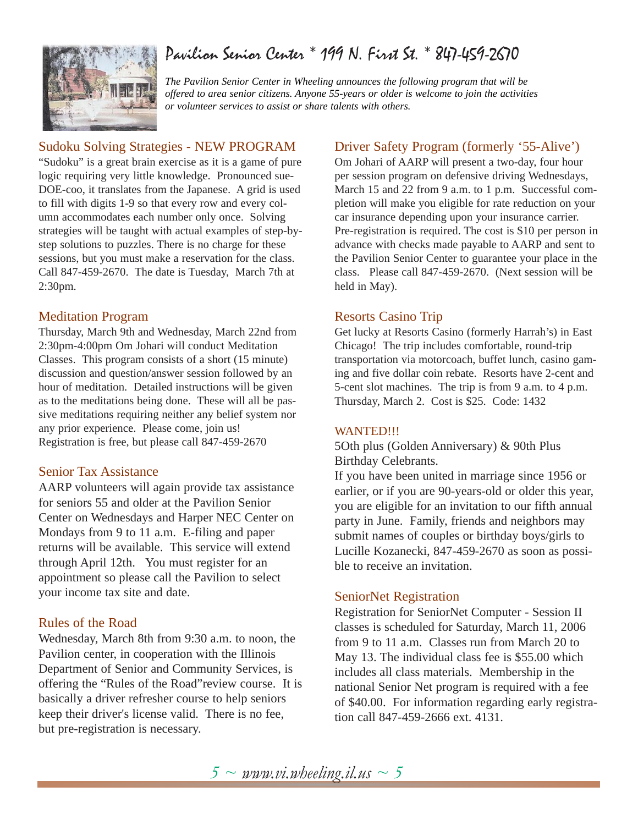### Pavilion Senior Center \* 199 N. First St. \* 847-459-2670



*The Pavilion Senior Center in Wheeling announces the following program that will be offered to area senior citizens. Anyone 55-years or older is welcome to join the activities or volunteer services to assist or share talents with others.*

#### Sudoku Solving Strategies - NEW PROGRAM

"Sudoku" is a great brain exercise as it is a game of pure logic requiring very little knowledge. Pronounced sue-DOE-coo, it translates from the Japanese. A grid is used to fill with digits 1-9 so that every row and every column accommodates each number only once. Solving strategies will be taught with actual examples of step-bystep solutions to puzzles. There is no charge for these sessions, but you must make a reservation for the class. Call 847-459-2670. The date is Tuesday, March 7th at 2:30pm.

#### Meditation Program

Thursday, March 9th and Wednesday, March 22nd from 2:30pm-4:00pm Om Johari will conduct Meditation Classes. This program consists of a short (15 minute) discussion and question/answer session followed by an hour of meditation. Detailed instructions will be given as to the meditations being done. These will all be passive meditations requiring neither any belief system nor any prior experience. Please come, join us! Registration is free, but please call 847-459-2670

#### Senior Tax Assistance

AARP volunteers will again provide tax assistance for seniors 55 and older at the Pavilion Senior Center on Wednesdays and Harper NEC Center on Mondays from 9 to 11 a.m. E-filing and paper returns will be available. This service will extend through April 12th. You must register for an appointment so please call the Pavilion to select your income tax site and date.

#### Rules of the Road

Wednesday, March 8th from 9:30 a.m. to noon, the Pavilion center, in cooperation with the Illinois Department of Senior and Community Services, is offering the "Rules of the Road"review course. It is basically a driver refresher course to help seniors keep their driver's license valid. There is no fee, but pre-registration is necessary.

#### Driver Safety Program (formerly '55-Alive')

Om Johari of AARP will present a two-day, four hour per session program on defensive driving Wednesdays, March 15 and 22 from 9 a.m. to 1 p.m. Successful completion will make you eligible for rate reduction on your car insurance depending upon your insurance carrier. Pre-registration is required. The cost is \$10 per person in advance with checks made payable to AARP and sent to the Pavilion Senior Center to guarantee your place in the class. Please call 847-459-2670. (Next session will be held in May).

#### Resorts Casino Trip

Get lucky at Resorts Casino (formerly Harrah's) in East Chicago! The trip includes comfortable, round-trip transportation via motorcoach, buffet lunch, casino gaming and five dollar coin rebate. Resorts have 2-cent and 5-cent slot machines. The trip is from 9 a.m. to 4 p.m. Thursday, March 2. Cost is \$25. Code: 1432

#### WANTED!!!

5Oth plus (Golden Anniversary) & 90th Plus Birthday Celebrants.

If you have been united in marriage since 1956 or earlier, or if you are 90-years-old or older this year, you are eligible for an invitation to our fifth annual party in June. Family, friends and neighbors may submit names of couples or birthday boys/girls to Lucille Kozanecki, 847-459-2670 as soon as possible to receive an invitation.

#### SeniorNet Registration

Registration for SeniorNet Computer - Session II classes is scheduled for Saturday, March 11, 2006 from 9 to 11 a.m. Classes run from March 20 to May 13. The individual class fee is \$55.00 which includes all class materials. Membership in the national Senior Net program is required with a fee of \$40.00. For information regarding early registration call 847-459-2666 ext. 4131.

*5 ~ www.vi.wheeling.il.us ~ 5*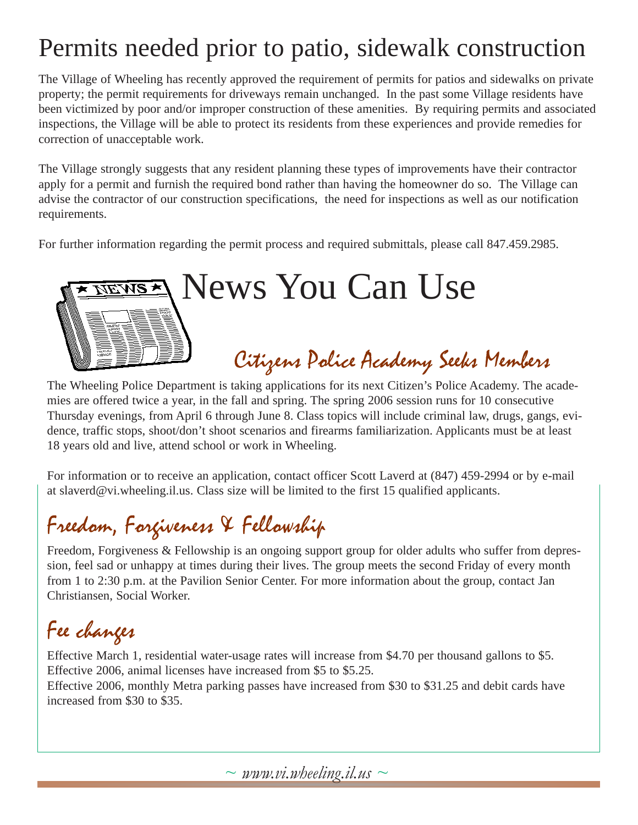## Permits needed prior to patio, sidewalk construction

The Village of Wheeling has recently approved the requirement of permits for patios and sidewalks on private property; the permit requirements for driveways remain unchanged. In the past some Village residents have been victimized by poor and/or improper construction of these amenities. By requiring permits and associated inspections, the Village will be able to protect its residents from these experiences and provide remedies for correction of unacceptable work.

The Village strongly suggests that any resident planning these types of improvements have their contractor apply for a permit and furnish the required bond rather than having the homeowner do so. The Village can advise the contractor of our construction specifications, the need for inspections as well as our notification requirements.

For further information regarding the permit process and required submittals, please call 847.459.2985.

# News You Can Use **NEWS \*** Citizens Police Academy Seeks Members

The Wheeling Police Department is taking applications for its next Citizen's Police Academy. The academies are offered twice a year, in the fall and spring. The spring 2006 session runs for 10 consecutive Thursday evenings, from April 6 through June 8. Class topics will include criminal law, drugs, gangs, evidence, traffic stops, shoot/don't shoot scenarios and firearms familiarization. Applicants must be at least 18 years old and live, attend school or work in Wheeling.

For information or to receive an application, contact officer Scott Laverd at (847) 459-2994 or by e-mail at slaverd@vi.wheeling.il.us. Class size will be limited to the first 15 qualified applicants.

## Freedom, Forgiveness & Fellowship

Freedom, Forgiveness & Fellowship is an ongoing support group for older adults who suffer from depression, feel sad or unhappy at times during their lives. The group meets the second Friday of every month from 1 to 2:30 p.m. at the Pavilion Senior Center. For more information about the group, contact Jan Christiansen, Social Worker.

# Fee changes

Effective March 1, residential water-usage rates will increase from \$4.70 per thousand gallons to \$5. Effective 2006, animal licenses have increased from \$5 to \$5.25.

Effective 2006, monthly Metra parking passes have increased from \$30 to \$31.25 and debit cards have increased from \$30 to \$35.

 $\sim$  *www.vi.wheeling.il.us*  $\sim$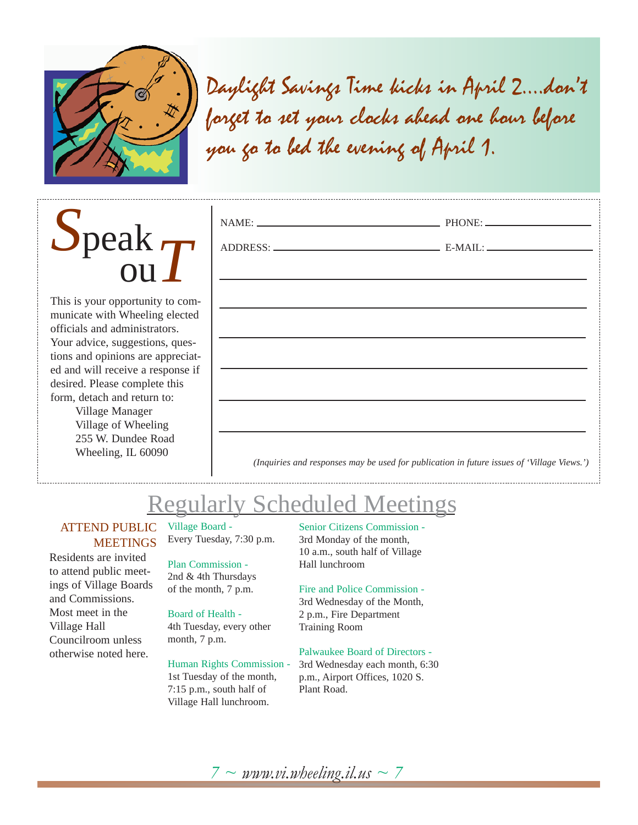

Daylight Savings Time kicks in April 2....don't forget to set your clocks ahead one hour before you go to bed the evening of April 1.



This is your opportunity to communicate with Wheeling elected officials and administrators. Your advice, suggestions, questions and opinions are appreciated and will receive a response if desired. Please complete this form, detach and return to: Village Manager

Village of Wheeling 255 W. Dundee Road Wheeling, IL 60090

| the control of the control of the control of the control of the control of the control of the control of the control of the control of the control of the control of the control of the control of the control of the control |
|-------------------------------------------------------------------------------------------------------------------------------------------------------------------------------------------------------------------------------|
|                                                                                                                                                                                                                               |
| <u> 1989 - Johann John Stone, markin film yn y brenin y brenin y brenin y brenin y brenin y brenin y brenin y br</u>                                                                                                          |
|                                                                                                                                                                                                                               |
| ,我们也不能在这里的时候,我们也不能在这里的时候,我们也不能会在这里的时候,我们也不能会在这里的时候,我们也不能会在这里的时候,我们也不能会在这里的时候,我们也                                                                                                                                              |
|                                                                                                                                                                                                                               |
| <u> 1989 - Johann John Stein, mars an deutscher Stein und der Stein und der Stein und der Stein und der Stein und</u>                                                                                                         |
|                                                                                                                                                                                                                               |
|                                                                                                                                                                                                                               |
| (Inquiries and responses may be used for publication in future issues of 'Village Views.')                                                                                                                                    |

## Regularly Scheduled Meetings

#### ATTEND PUBLIC **MEETINGS**

Residents are invited to attend public meetings of Village Boards and Commissions. Most meet in the Village Hall Councilroom unless otherwise noted here.

#### Village Board - Every Tuesday, 7:30 p.m.

Plan Commission - 2nd & 4th Thursdays of the month, 7 p.m.

### Board of Health -

4th Tuesday, every other month, 7 p.m.

#### Human Rights Commission -

1st Tuesday of the month, 7:15 p.m., south half of Village Hall lunchroom.

#### Senior Citizens Commission -

3rd Monday of the month, 10 a.m., south half of Village Hall lunchroom

#### Fire and Police Commission -

3rd Wednesday of the Month, 2 p.m., Fire Department Training Room

#### Palwaukee Board of Directors -

3rd Wednesday each month, 6:30 p.m., Airport Offices, 1020 S. Plant Road.

### $7 \sim \textit{www.vi.wbeeline,}$ *il.us*  $\sim 7$